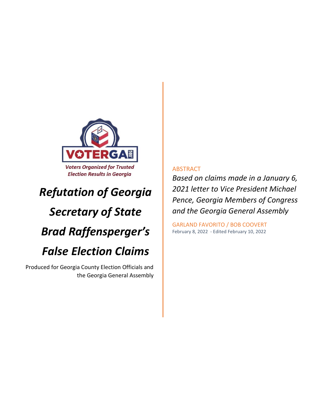

## *Refutation of Georgia*

# *Secretary of State Brad Raffensperger's False Election Claims*

Produced for Georgia County Election Officials and the Georgia General Assembly

### ABSTRACT

*Based on claims made in a January 6, 2021 letter to Vice President Michael Pence, Georgia Members of Congress and the Georgia General Assembly*

GARLAND FAVORITO / BOB COOVERT February 8, 2022 - Edited February 10, 2022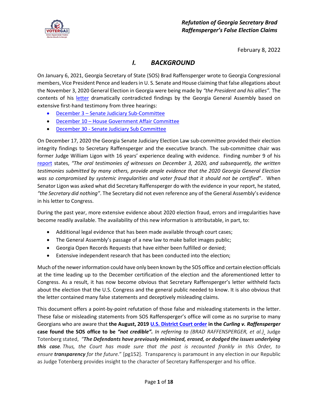

February 8, 2022

## *I. BACKGROUND*

On January 6, 2021, Georgia Secretary of State (SOS) Brad Raffensperger wrote to Georgia Congressional members, Vice President Pence and leaders in U. S. Senate and House claiming that false allegations about the November 3, 2020 General Election in Georgia were being made by *"the President and his allies".* The contents of his [letter](https://voterga.org/wp-content/uploads/2022/02/Letter-to-Congress-from-Secretary-Raffensperger-1-6-21.pdf) dramatically contradicted findings by the Georgia General Assembly based on extensive first-hand testimony from three hearings:

- December 3 [Senate Judiciary Sub-Committee](https://livestream.com/accounts/26021522/events/8730585/videos/214364915)
- December 10 [House Government Affair Committee](https://livestream.com/accounts/25225474/events/9117221/videos/214677184)
- December 30 [Senate Judiciary Sub Committee](https://livestream.com/accounts/26021522/events/8730585/videos/215443723)

On December 17, 2020 the Georgia Senate Judiciary Election Law sub-committee provided their election integrity findings to Secretary Raffensperger and the executive branch. The sub-committee chair was former Judge William Ligon with 16 years' experience dealing with evidence. Finding number 9 of his [report](https://voterga.org/wp-content/uploads/2022/02/Final-Senate-Judiciary-Sub-Committee-2020-Election-Report-.pdf) states, *"The oral testimonies of witnesses on December 3, 2020, and subsequently, the written testimonies submitted by many others, provide ample evidence that the 2020 Georgia General Election was so compromised by systemic irregularities and voter fraud that it should not be certified*". When Senator Ligon was asked what did Secretary Raffensperger do with the evidence in your report, he stated, *"the Secretary did nothing"*. The Secretary did not even reference any of the General Assembly's evidence in his letter to Congress.

During the past year, more extensive evidence about 2020 election fraud, errors and irregularities have become readily available. The availability of this new information is attributable, in part, to:

- Additional legal evidence that has been made available through court cases;
- The General Assembly's passage of a new law to make ballot images public;
- Georgia Open Records Requests that have either been fulfilled or denied;
- Extensive independent research that has been conducted into the election;

Much of the newer information could have only been known by the SOS office and certain election officials at the time leading up to the December certification of the election and the aforementioned letter to Congress. As a result, it has now become obvious that Secretary Raffensperger's letter withheld facts about the election that the U.S. Congress and the general public needed to know. It is also obvious that the letter contained many false statements and deceptively misleading claims.

This document offers a point-by-point refutation of those false and misleading statements in the letter. These false or misleading statements from SOS Raffensperger's office will come as no surprise to many Georgians who are aware that **the August, 201[9 U.S. District Court order](https://voterga.org/wp-content/uploads/2021/06/curling-v-raffensperger-rulling-101120.pdf) in the** *Curling v. Raffensperger* **case found the SOS office to be** *"not credible". In referring to (BRAD RAFFENSPERGER, et al.)* Judge Totenberg stated, *"The Defendants have previously minimized, erased, or dodged the issues underlying this case. Thus, the Court has made sure that the past is recounted frankly in this Order, to ensure transparency for the future.*" [pg152]. Transparency is paramount in any election in our Republic as Judge Totenberg provides insight to the character of Secretary Raffensperger and his office.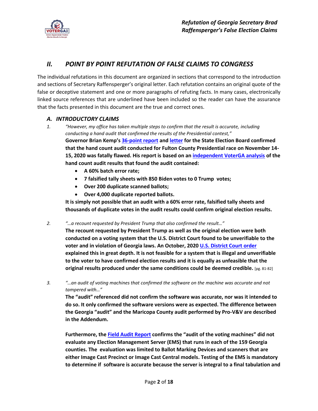

## *II. POINT BY POINT REFUTATION OF FALSE CLAIMS TO CONGRESS*

The individual refutations in this document are organized in sections that correspond to the introduction and sections of Secretary Raffensperger's original letter. Each refutation contains an original quote of the false or deceptive statement and one or more paragraphs of refuting facts. In many cases, electronically linked source references that are underlined have been included so the reader can have the assurance that the facts presented in this document are the true and correct ones.

#### *A. INTRODUCTORY CLAIMS*

- *1. "However, my office has taken multiple steps to confirm that the result is accurate, including conducting a hand audit that confirmed the results of the Presidential contest,"* **Governor Brian Kemp's [36-point report](https://voterga.org/wp-content/uploads/2021/12/Brian-Kemp-Audit-Inconsistencies-Report-Joe-Rossi-11.18.2021.pdf) and [letter](https://voterga.org/wp-content/uploads/2021/12/Brian-Kemp-Georgia-SEB-Letter-Joe-Rossi-11.17.2021.pdf) for the State Election Board confirmed that the hand count audit conducted for Fulton County Presidential race on November 14- 15, 2020 was fatally flawed. His report is based on an [independent VoterGA analysis](https://voterga.org/wp-content/uploads/2021/11/Press-Release-Georgia-Audit-Riddled-by-Massive-Errors-Fraud.pdf) of the hand count audit results that found the audit contained:** 
	- **A 60% batch error rate;**
	- **7 falsified tally sheets with 850 Biden votes to 0 Trump votes;**
	- **Over 200 duplicate scanned ballots;**
	- **Over 4,000 duplicate reported ballots.**

**It is simply not possible that an audit with a 60% error rate, falsified tally sheets and thousands of duplicate votes in the audit results could confirm original election results.**

*2. "…a recount requested by President Trump that also confirmed the result…"*

**The recount requested by President Trump as well as the original election were both conducted on a voting system that the U.S. District Court found to be unverifiable to the voter and in violation of Georgia laws. An October, 2020 [U.S. District Court order](https://voterga.org/wp-content/uploads/2021/06/curling-v-raffensperger-rulling-101120.pdf) explained this in great depth. It is not feasible for a system that is illegal and unverifiable to the voter to have confirmed election results and it is equally as unfeasible that the original results produced under the same conditions could be deemed credible.** [pg. 81-82]

*3. "…an audit of voting machines that confirmed the software on the machine was accurate and not tampered with…"* 

**The "audit" referenced did not confirm the software was accurate, nor was it intended to do so. It only confirmed the software versions were as expected. The difference between the Georgia "audit" and the Maricopa County audit performed by Pro-V&V are described in the Addendum.**

**Furthermore, th[e Field Audit Report](https://voterga.org/wp-content/uploads/2022/01/Field-Audit-Report-Final-1.1.pdf) confirms the "audit of the voting machines" did not evaluate any Election Management Server (EMS) that runs in each of the 159 Georgia counties. The evaluation was limited to Ballot Marking Devices and scanners that are either Image Cast Precinct or Image Cast Central models. Testing of the EMS is mandatory to determine if software is accurate because the server is integral to a final tabulation and**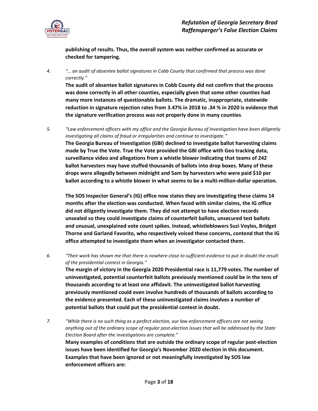

**publishing of results. Thus, the overall system was neither confirmed as accurate or checked for tampering.**

*4. "… an audit of absentee ballot signatures in Cobb County that confirmed that process was done correctly."*

**The audit of absentee ballot signatures in Cobb County did not confirm that the process was done correctly in all other counties, especially given that some other counties had many more instances of questionable ballots. The dramatic, inappropriate, statewide reduction in signature rejection rates from 3.47% in 2018 to .34 % in 2020 is evidence that the signature verification process was not properly done in many counties**.

*5. "Law enforcement officers with my office and the Georgia Bureau of Investigation have been diligently investigating all claims of fraud or irregularities and continue to investigate."* **The Georgia Bureau of Investigation (GBI) declined to investigate ballot harvesting claims made by True the Vote. True the Vote provided the GBI office with Geo tracking data, surveillance video and allegations from a whistle blower indicating that teams of 242 ballot harvesters may have stuffed thousands of ballots into drop boxes. Many of these drops were allegedly between midnight and 5am by harvesters who were paid \$10 per ballot according to a whistle blower in what seems to be a multi-million-dollar operation.** 

**The SOS Inspector General's (IG) office now states they are investigating these claims 14 months after the election was conducted. When faced with similar claims, the IG office did not diligently investigate them. They did not attempt to have election records unsealed so they could investigate claims of counterfeit ballots, unsecured test ballots and unusual, unexplained vote count spikes. Instead, whistleblowers Suzi Voyles, Bridget Thorne and Garland Favorito, who respectively voiced these concerns, contend that the IG office attempted to investigate them when an investigator contacted them.** 

- *6. "Their work has shown me that there is nowhere close to sufficient evidence to put in doubt the result of the presidential contest in Georgia."* **The margin of victory in the Georgia 2020 Presidential race is 11,779 votes. The number of uninvestigated, potential counterfeit ballots previously mentioned could be in the tens of thousands according to at least one affidavit. The uninvestigated ballot harvesting previously mentioned could even involve hundreds of thousands of ballots according to the evidence presented. Each of these uninvestigated claims involves a number of potential ballots that could put the presidential contest in doubt.**
- *7. "While there is no such thing as a perfect election, our law enforcement officers are not seeing anything out of the ordinary scope of regular post-election issues that will be addressed by the State Election Board after the investigations are complete."* **Many examples of conditions that are outside the ordinary scope of regular post-election issues have been identified for Georgia's November 2020 election in this document. Examples that have been ignored or not meaningfully investigated by SOS law enforcement officers are:**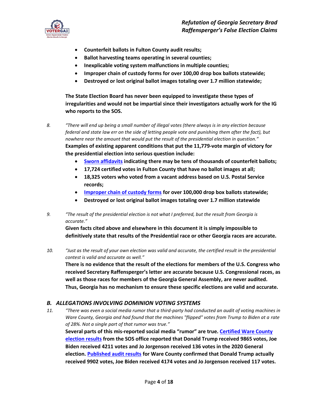

- **Counterfeit ballots in Fulton County audit results;**
- **Ballot harvesting teams operating in several counties;**
- **Inexplicable voting system malfunctions in multiple counties;**
- **Improper chain of custody forms for over 100,00 drop box ballots statewide;**
- **Destroyed or lost original ballot images totaling over 1.7 million statewide;**

**The State Election Board has never been equipped to investigate these types of irregularities and would not be impartial since their investigators actually work for the IG who reports to the SOS.**

- *8. "There will end up being a small number of illegal votes (there always is in any election because federal and state law err on the side of letting people vote and punishing them after the fact), but nowhere near the amount that would put the result of the presidential election in question."* **Examples of existing apparent conditions that put the 11,779-vote margin of victory for the presidential election into serious question include:** 
	- **[Sworn affidavits](https://voterga.org/wp-content/uploads/2020/12/notice-of-filing-exhibits.pdf) indicating there may be tens of thousands of counterfeit ballots;**
	- **17,724 certified votes in Fulton County that have no ballot images at all;**
	- **18,325 voters who voted from a vacant address based on U.S. Postal Service records;**
	- **[Improper chain of custody forms](https://voterga.org/wp-content/uploads/2022/01/Press-Release-VoterGA-Drop-Box-Custody-Chain-Analysis.pdf) for over 100,000 drop box ballots statewide;**
	- **Destroyed or lost original ballot images totaling over 1.7 million statewide**
- *9. "The result of the presidential election is not what I preferred, but the result from Georgia is accurate."*

**Given facts cited above and elsewhere in this document it is simply impossible to definitively state that results of the Presidential race or other Georgia races are accurate.**

*10. "Just as the result of your own election was valid and accurate, the certified result in the presidential contest is valid and accurate as well."*

**There is no evidence that the result of the elections for members of the U.S. Congress who received Secretary Raffensperger's letter are accurate because U.S. Congressional races, as well as those races for members of the Georgia General Assembly, are never audited. Thus, Georgia has no mechanism to ensure these specific elections are valid and accurate.**

#### *B. ALLEGATIONS INVOLVING DOMINION VOTING SYSTEMS*

*11. "There was even a social media rumor that a third-party had conducted an audit of voting machines in Ware County, Georgia and had found that the machines "flipped" votes from Trump to Biden at a rate of 28%. Not a single part of that rumor was true."*

**Several parts of this mis-reported social media "rumor" are true. [Certified Ware County](https://voterga.org/wp-content/uploads/2022/01/Ware-Co-2020-Election-Results.pdf) [election results](https://voterga.org/wp-content/uploads/2022/01/Ware-Co-2020-Election-Results.pdf) from the SOS office reported that Donald Trump received 9865 votes, Joe Biden received 4211 votes and Jo Jorgenson received 136 votes in the 2020 General election. [Published audit results](https://voterga.org/wp-content/uploads/2022/01/Ware-County-Audit-Results.pdf) for Ware County confirmed that Donald Trump actually received 9902 votes, Joe Biden received 4174 votes and Jo Jorgenson received 117 votes.**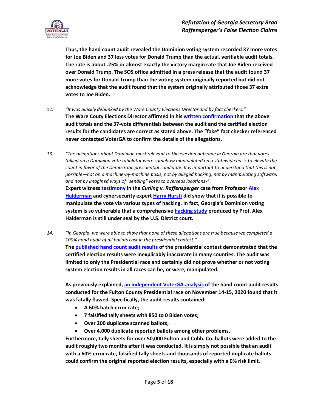

**Thus, the hand count audit revealed the Dominion voting system recorded 37 more votes for Joe Biden and 37 less votes for Donald Trump than the actual, verifiable audit totals. The rate is about .25% or almost exactly the victory margin rate that Joe Biden received over Donald Trump. The SOS office admitted in a press release that the audit found 37 more votes for Donald Trump than the voting system originally reported but did not acknowledge that the audit found that the system originally attributed those 37 extra votes to Joe Biden.**

- 12. *"It was quickly debunked by the Ware County Elections Director and by fact checkers."* **The Ware Couty Elections Director affirmed in his [written confirmation](https://voterga.org/wp-content/uploads/2020/11/ware-county-confirmation.jpg) that the above audit totals and the 37-vote differentials between the audit and the certified election results for the candidates are correct as stated above. The "fake" fact checker referenced never contacted VoterGA to confirm the details of the allegations.**
- *13. "The allegations about Dominion most relevant to the election outcome in Georgia are that votes tallied on a Dominion vote tabulator were somehow manipulated on a statewide basis to elevate the count in favor of the Democratic presidential candidate. It is important to understand that this is not possible—not on a machine-by-machine basis, not by alleged hacking, not by manipulating software, and not by imagined ways of "sending" votes to overseas locations-"* **Expert witnes[s testimony](https://voterga.org/wp-content/uploads/2021/08/Public-Halderman-Findings.pdf) in the** *Curling v. Raffensperger* **case from Professo[r Alex](https://voterga.org/wp-content/uploads/2022/01/080221-Halderman-Curling-v-Raffensperger-Decl.-.pdf)  [Halderman](https://voterga.org/wp-content/uploads/2022/01/080221-Halderman-Curling-v-Raffensperger-Decl.-.pdf) and cybersecurity expert [Harry Hursti](https://voterga.org/wp-content/uploads/2022/01/Hursti-Curling-v-Raffensperger-Declaration-809-3-200dpi-1bit-color-scan.pdf) did show that it is possible to manipulate the vote via various types of hacking. In fact, Georgia's Dominion voting system is so vulnerable that a comprehensive [hacking study](https://voterga.org/wp-content/uploads/2022/01/Hursti-Curling-v-Raffensperger-Declaration-809-3-200dpi-1bit-color-scan.pdf) produced by Prof. Alex Halderman is still under seal by the U.S. District court.**
- *14. "In Georgia, we were able to show that none of these allegations are true because we completed a 100% hand audit of all ballots cast in the presidential contest."* **The [published hand count audit results](https://voterga.org/wp-content/uploads/2021/02/county-audit-summary-data.pdf) of the presidential contest demonstrated that the certified election results were inexplicably inaccurate in many counties. The audit was limited to only the Presidential race and certainly did not prove whether or not voting system election results in all races can be, or were, manipulated.**

**As previously explained, [an independent VoterGA analysis](https://voterga.org/wp-content/uploads/2021/11/Press-Release-Georgia-Audit-Riddled-by-Massive-Errors-Fraud.pdf) of the hand count audit results conducted for the Fulton County Presidential race on November 14-15, 2020 found that it was fatally flawed. Specifically, the audit results contained:** 

- **A 60% batch error rate;**
- **7 falsified tally sheets with 850 to 0 Biden votes;**
- **Over 200 duplicate scanned ballots;**
- **Over 4,000 duplicate reported ballots among other problems.**

**Furthermore, tally sheets for over 50,000 Fulton and Cobb. Co. ballots were added to the audit roughly two months after it was conducted. It is simply not possible that an audit with a 60% error rate, falsified tally sheets and thousands of reported duplicate ballots could confirm the original reported election results, especially with a 0% risk limit.**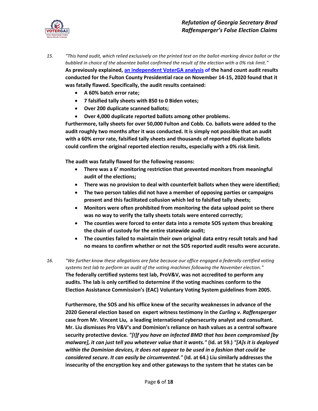

- *15. "This hand audit, which relied exclusively on the printed text on the ballot-marking device ballot or the bubbled in choice of the absentee ballot confirmed the result of the election with a 0% risk limit."* **As previously explained, [an independent VoterGA analysis](https://voterga.org/wp-content/uploads/2021/11/Press-Release-Georgia-Audit-Riddled-by-Massive-Errors-Fraud.pdf) of the hand count audit results conducted for the Fulton County Presidential race on November 14-15, 2020 found that it was fatally flawed. Specifically, the audit results contained:** 
	- **A 60% batch error rate;**
	- **7 falsified tally sheets with 850 to 0 Biden votes;**
	- **Over 200 duplicate scanned ballots;**
	- **Over 4,000 duplicate reported ballots among other problems.**

**Furthermore, tally sheets for over 50,000 Fulton and Cobb. Co. ballots were added to the audit roughly two months after it was conducted. It is simply not possible that an audit with a 60% error rate, falsified tally sheets and thousands of reported duplicate ballots could confirm the original reported election results, especially with a 0% risk limit.**

**The audit was fatally flawed for the following reasons:**

- **There was a 6' monitoring restriction that prevented monitors from meaningful audit of the elections;**
- **There was no provision to deal with counterfeit ballots when they were identified;**
- **The two person tables did not have a member of opposing parties or campaigns present and this facilitated collusion which led to falsified tally sheets;**
- **Monitors were often prohibited from monitoring the data upload point so there was no way to verify the tally sheets totals were entered correctly;**
- **The counties were forced to enter data into a remote SOS system thus breaking the chain of custody for the entire statewide audit;**
- **The counties failed to maintain their own original data entry result totals and had no means to confirm whether or not the SOS reported audit results were accurate.**
- *16. "We further know these allegations are false because our office engaged a federally certified voting systems test lab to perform an audit of the voting machines following the November election."* **The federally certified systems test lab, ProV&V, was not accredited to perform any audits. The lab is only certified to determine if the voting machines conform to the Election Assistance Commission's (EAC) Voluntary Voting System guidelines from 2005.**

**Furthermore, the SOS and his office knew of the security weaknesses in advance of the 2020 General election based on expert witnes[s testimony](https://voterga.org/wp-content/uploads/2021/08/Public-Halderman-Findings.pdf) in the** *Curling v. Raffensperger* **case from Mr. Vincent Liu, a leading international cybersecurity analyst and consultant. Mr. Liu dismisses Pro V&V's and Dominion's reliance on hash values as a central software security protective device***. "[I]f you have an infected BMD that has been compromised [by malware], it can just tell you whatever value that it wants."* **(Id. at 59.)** *"[A]s it is deployed within the Dominion devices, it does not appear to be used in a fashion that could be considered secure. It can easily be circumvented."* **(Id. at 64.) Liu similarly addresses the insecurity of the encryption key and other gateways to the system that he states can be**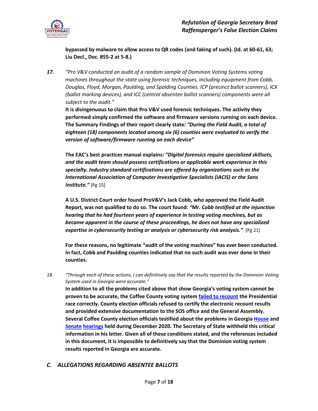

**bypassed by malware to allow access to QR codes (and faking of such). (Id. at 60-61, 63; Liu Decl., Doc. 855-2 at 5-8.)** 

*17. "Pro V&V conducted an audit of a random sample of Dominion Voting Systems voting machines throughout the state using forensic techniques, including equipment from Cobb, Douglas, Floyd, Morgan, Paulding, and Spalding Counties. ICP (precinct ballot scanners), ICX (ballot marking devices), and ICC (central absentee ballot scanners) components were all subject to the audit."* 

**It is disingenuous to claim that Pro V&V used forensic techniques. The activity they performed simply confirmed the software and firmware versions running on each device. The Summary Findings of their report clearly state:** *"During the Field Audit, a total of eighteen (18) components located among six (6) counties were evaluated to verify the version of software/firmware running on each device"*

**The EAC's best practices manual explains***: "Digital forensics require specialized skillsets, and the audit team should possess certifications or applicable work experience in this specialty. Industry standard certifications are offered by organizations such as the International Association of Computer Investigative Specialists (IACIS) or the Sans Institute."* [Pg 15]

**A U.S. District Court order found ProV&V's Jack Cobb, who approved the Field Audit Report, was not qualified to do so. The court found:** *"Mr. Cobb testified at the injunction hearing that he had fourteen years of experience in testing voting machines, but as became apparent in the course of these proceedings, he does not have any specialized expertise in cybersecurity testing or analysis or cybersecurity risk analysis."*[Pg 21]

**For these reasons, no legitimate "audit of the voting machines" has ever been conducted. In fact, Cobb and Paulding counties indicated that no such audit was ever done in their counties.**

*18. "Through each of these actions, I can definitively say that the results reported by the Dominion Voting System used in Georgia were accurate."*

**In addition to all the problems cited above that show Georgia's voting system cannot be proven to be accurate, the Coffee County voting syste[m failed to recount](https://voterga.org/wp-content/uploads/2020/12/press-release-georgia-county-refuses-to-certify-3-dominion-recounts.pdf) the Presidential race correctly. County election officials refused to certify the electronic recount results and provided extensive documentation to the SOS office and the General Assembly. Several Coffee County election officials testified about the problems in Georgia [House](https://livestream.com/accounts/25225474/events/9117221/videos/214677184) and [Senate](https://livestream.com/accounts/26021522/events/8730585/videos/215443723) [hearings](https://livestream.com/accounts/26021522/events/8730585/videos/214364915) held during December 2020. The Secretary of State withheld this critical information in his letter. Given all of these conditions stated, and the references included in this document, it is impossible to definitively say that the Dominion voting system results reported in Georgia are accurate.**

#### *C. ALLEGATIONS REGARDING ABSENTEE BALLOTS*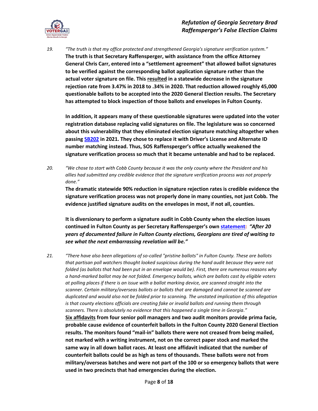

*19. "The truth is that my office protected and strengthened Georgia's signature verification system."* **The truth is that Secretary Raffensperger, with assistance from the office Attorney General Chris Carr, entered into a "settlement agreement" that allowed ballot signatures to be verified against the corresponding ballot application signature rather than the actual voter signature on file. Thi[s resulted](https://voterga.org/wp-content/uploads/2021/05/tppf-amicus-brief-unseal-paper-ballots-04.30.2021.pdf) in a statewide decrease in the signature rejection rate from 3.47% in 2018 to .34% in 2020. That reduction allowed roughly 45,000 questionable ballots to be accepted into the 2020 General Election results. The Secretary has attempted to block inspection of those ballots and envelopes in Fulton County.**

**In addition, it appears many of these questionable signatures were updated into the voter registration database replacing valid signatures on file. The legislature was so concerned about this vulnerability that they eliminated election signature matching altogether when passin[g SB202](https://www.legis.ga.gov/legislation/59827) in 2021. They chose to replace it with Driver's License and Alternate ID number matching instead. Thus, SOS Raffensperger's office actually weakened the signature verification process so much that it became untenable and had to be replaced.**

*20. "We chose to start with Cobb County because it was the only county where the President and his allies had submitted any credible evidence that the signature verification process was not properly done."*

**The dramatic statewide 90% reduction in signature rejection rates is credible evidence the signature verification process was not properly done in many counties, not just Cobb. The evidence justified signature audits on the envelopes in most, if not all, counties.**

**It is diversionary to perform a signature audit in Cobb County when the election issues continued in Fulton County as per Secretary Raffensperger's own [statement:](https://sos.ga.gov/index.php/elections/secretary_raffensperger_calls_on_department_of_justice_to_investigate_allegations_of_fulton_county_shredding_applications)** *"After 20 years of documented failure in Fulton County elections, Georgians are tired of waiting to see what the next embarrassing revelation will be."*

*21. "There have also been allegations of so-called "pristine ballots" in Fulton County. These are ballots that partisan poll watchers thought looked suspicious during the hand audit because they were not folded (as ballots that had been put in an envelope would be). First, there are numerous reasons why a hand-marked ballot may be not folded. Emergency ballots, which are ballots cast by eligible voters at polling places if there is an issue with a ballot marking device, are scanned straight into the scanner. Certain military/overseas ballots or ballots that are damaged and cannot be scanned are duplicated and would also not be folded prior to scanning. The unstated implication of this allegation is that county elections officials are creating fake or invalid ballots and running them through scanners. There is absolutely no evidence that this happened a single time in Georgia."* **[Six affidavits](https://voterga.org/wp-content/uploads/2020/12/notice-of-filing-exhibits.pdf) from four senior poll managers and two audit monitors provide prima facie, probable cause evidence of counterfeit ballots in the Fulton County 2020 General Election results. The monitors found "mail-in" ballots there were not creased from being mailed, not marked with a writing instrument, not on the correct paper stock and marked the same way in all down ballot races. At least one affidavit indicated that the number of counterfeit ballots could be as high as tens of thousands. These ballots were not from military/overseas batches and were not part of the 100 or so emergency ballots that were used in two precincts that had emergencies during the election.**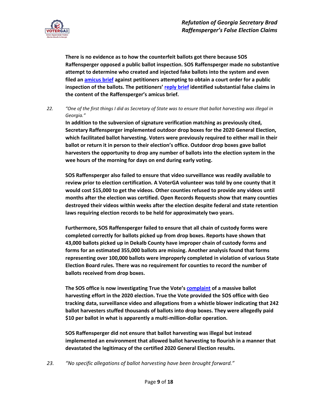

**There is no evidence as to how the counterfeit ballots got there because SOS Raffensperger opposed a public ballot inspection. SOS Raffensperger made no substantive attempt to determine who created and injected fake ballots into the system and even filed a[n amicus brief](https://voterga.org/wp-content/uploads/2021/04/sos-amicus-brief.pdf) against petitioners attempting to obtain a court order for a public inspection of the ballots. The petitioners' [reply brief](https://voterga.org/wp-content/uploads/2021/05/draime-response-to-amicus.pdf) identified substantial false claims in the content of the Raffensperger's amicus brief.**

*22. "One of the first things I did as Secretary of State was to ensure that ballot harvesting was illegal in Georgia."*

**In addition to the subversion of signature verification matching as previously cited, Secretary Raffensperger implemented outdoor drop boxes for the 2020 General Election, which facilitated ballot harvesting. Voters were previously required to either mail in their ballot or return it in person to their election's office. Outdoor drop boxes gave ballot harvesters the opportunity to drop any number of ballots into the election system in the wee hours of the morning for days on end during early voting.**

**SOS Raffensperger also failed to ensure that video surveillance was readily available to review prior to election certification. A VoterGA volunteer was told by one county that it would cost \$15,000 to get the videos. Other counties refused to provide any videos until months after the election was certified. Open Records Requests show that many counties destroyed their videos within weeks after the election despite federal and state retention laws requiring election records to be held for approximately two years.**

**Furthermore, SOS Raffensperger failed to ensure that all chain of custody forms were completed correctly for ballots picked up from drop boxes. Reports have shown that 43,000 ballots picked up in Dekalb County have improper chain of custody forms and forms for an estimated 355,000 ballots are missing. Another analysis found that forms representing over 100,000 ballots were improperly completed in violation of various State Election Board rules. There was no requirement for counties to record the number of ballots received from drop boxes.**

**The SOS office is now investigating True the Vote's [complaint](https://voterga.org/wp-content/uploads/2022/02/True-the-Vote-Drop-Box-Ballot-Harvesting-Complaint-120121-.pdf) of a massive ballot harvesting effort in the 2020 election. True the Vote provided the SOS office with Geo tracking data, surveillance video and allegations from a whistle blower indicating that 242 ballot harvesters stuffed thousands of ballots into drop boxes. They were allegedly paid \$10 per ballot in what is apparently a multi-million-dollar operation.**

**SOS Raffensperger did not ensure that ballot harvesting was illegal but instead implemented an environment that allowed ballot harvesting to flourish in a manner that devastated the legitimacy of the certified 2020 General Election results.**

*23. "No specific allegations of ballot harvesting have been brought forward."*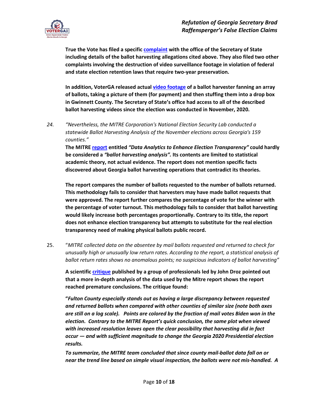

**True the Vote has filed a specifi[c complaint](https://voterga.org/wp-content/uploads/2022/02/True-the-Vote-Drop-Box-Ballot-Harvesting-Complaint-120121-.pdf) with the office of the Secretary of State including details of the ballot harvesting allegations cited above. They also filed two other complaints involving the destruction of video surveillance footage in violation of federal and state election retention laws that require two-year preservation.** 

**In addition, VoterGA released actua[l video footage](https://www.awesomescreenshot.com/video/7087426?key=4562641e13ad51122abeb1e8bd972740) of a ballot harvester fanning an array of ballots, taking a picture of them (for payment) and then stuffing them into a drop box in Gwinnett County. The Secretary of State's office had access to all of the described ballot harvesting videos since the election was conducted in November, 2020.**

*24. "Nevertheless, the MITRE Corporation's National Election Security Lab conducted a statewide Ballot Harvesting Analysis of the November elections across Georgia's 159 counties."*

**The MITR[E report](https://voterga.org/wp-content/uploads/2022/02/MITRE-data-analytics-to-enhance-election-transparency.pdf) entitled** *"Data Analytics to Enhance Election Transparency"* **could hardly be considered a** *"ballot harvesting analysis".* **Its contents are limited to statistical academic theory, not actual evidence. The report does not mention specific facts discovered about Georgia ballot harvesting operations that contradict its theories.** 

**The report compares the number of ballots requested to the number of ballots returned. This methodology fails to consider that harvesters may have made ballot requests that were approved. The report further compares the percentage of vote for the winner with the percentage of voter turnout. This methodology fails to consider that ballot harvesting would likely increase both percentages proportionally. Contrary to its title, the report does not enhance election transparency but attempts to substitute for the real election transparency need of making physical ballots public record.**

25. "*MITRE collected data on the absentee by mail ballots requested and returned to check for unusually high or unusually low return rates. According to the report, a statistical analysis of ballot return rates shows no anomalous points; no suspicious indicators of ballot harvesting"*

**A scientific [critique](https://voterga.org/wp-content/uploads/2022/02/MITRE-Critique-Bob-Coovert.pdf) published by a group of professionals led by John Droz pointed out that a more in-depth analysis of the data used by the Mitre report shows the report reached premature conclusions. The critique found:**

**"***Fulton County especially stands out as having a large discrepancy between requested and returned ballots when compared with other counties of similar size (note both axes are still on a log scale). Points are colored by the fraction of mail votes Biden won in the election. Contrary to the MITRE Report's quick conclusion, the same plot when viewed with increased resolution leaves open the clear possibility that harvesting did in fact occur — and with sufficient magnitude to change the Georgia 2020 Presidential election results.* 

*To summarize, the MITRE team concluded that since county mail-ballot data fall on or near the trend line based on simple visual inspection, the ballots were not mis-handled. A*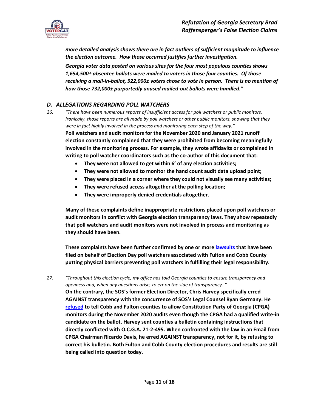

*more detailed analysis shows there are in fact outliers of sufficient magnitude to influence the election outcome. How those occurred justifies further investigation.* 

*Georgia voter data posted on various sites for the four most populous counties shows 1,654,500± absentee ballots were mailed to voters in those four counties. Of those receiving a mail-in-ballot, 922,000± voters chose to vote in person. There is no mention of how those 732,000± purportedly unused mailed-out ballots were handled."*

#### *D. ALLEGATIONS REGARDING POLL WATCHERS*

- *26. "There have been numerous reports of insufficient access for poll watchers or public monitors. Ironically, those reports are all made by poll watchers or other public monitors, showing that they were in fact highly involved in the process and monitoring each step of the way."* **Poll watchers and audit monitors for the November 2020 and January 2021 runoff election constantly complained that they were prohibited from becoming meaningfully involved in the monitoring process. For example, they wrote affidavits or complained in writing to poll watcher coordinators such as the co-author of this document that:**
	- **They were not allowed to get within 6' of any election activities;**
	- **They were not allowed to monitor the hand count audit data upload point;**
	- **They were placed in a corner where they could not visually see many activities;**
	- **They were refused access altogether at the polling location;**
	- **They were improperly denied credentials altogether.**

**Many of these complaints define inappropriate restrictions placed upon poll watchers or audit monitors in conflict with Georgia election transparency laws. They show repeatedly that poll watchers and audit monitors were not involved in process and monitoring as they should have been.**

**These complaints have been further confirmed by one or more [lawsuits](https://voterga.org/wp-content/uploads/2022/02/GOP-suit-poll-watcher-access-in-Cobb-County.pdf) that have been filed on behalf of Election Day poll watchers associated with Fulton and Cobb County putting physical barriers preventing poll watchers in fulfilling their legal responsibility.**

*27. "Throughout this election cycle, my office has told Georgia counties to ensure transparency and openness and, when any questions arise, to err on the side of transparency. "* **On the contrary, the SOS's former Election Director, Chris Harvey specifically erred AGAINST transparency with the concurrence of SOS's Legal Counsel Ryan Germany. He [refused](https://voterga.org/wp-content/uploads/2022/01/CPGA-Cobb-Monitor-Denial-Chris-Harvey-Ryan-Germany.pdf) to tell Cobb and Fulton counties to allow Constitution Party of Georgia (CPGA) monitors during the November 2020 audits even though the CPGA had a qualified write-in candidate on the ballot. Harvey sent counties a bulletin containing instructions that directly conflicted with O.C.G.A. 21-2-495. When confronted with the law in an Email from CPGA Chairman Ricardo Davis, he erred AGAINST transparency, not for it, by refusing to correct his bulletin. Both Fulton and Cobb County election procedures and results are still being called into question today.**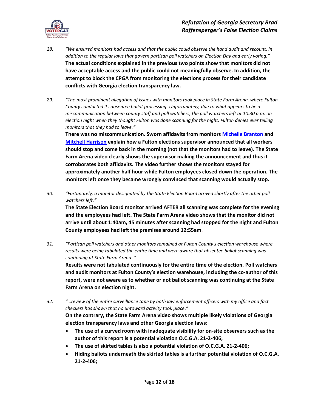

- *28. "We ensured monitors had access and that the public could observe the hand audit and recount, in addition to the regular laws that govern partisan poll watchers on Election Day and early voting."* **The actual conditions explained in the previous two points show that monitors did not have acceptable access and the public could not meaningfully observe. In addition, the attempt to block the CPGA from monitoring the elections process for their candidate conflicts with Georgia election transparency law.**
- *29. "The most prominent allegation of issues with monitors took place in State Farm Arena, where Fulton County conducted its absentee ballot processing. Unfortunately, due to what appears to be a miscommunication between county staff and poll watchers, the poll watchers left at 10:30 p.m. on election night when they thought Fulton was done scanning for the night. Fulton denies ever telling monitors that they had to leave."*

**There was no miscommunication. Sworn affidavits from monitor[s Michelle Branton](https://voterga.org/wp-content/uploads/2022/01/Michelle-Branton-Affidavit_Redacted.pdf) and [Mitchell Harrison](https://voterga.org/wp-content/uploads/2022/01/Mitchell-Harrison-Affidavit_Redacted.pdf) explain how a Fulton elections supervisor announced that all workers should stop and come back in the morning (not that the monitors had to leave). The State Farm Arena video clearly shows the supervisor making the announcement and thus it corroborates both affidavits. The video further shows the monitors stayed for approximately another half hour while Fulton employees closed down the operation. The monitors left once they became wrongly convinced that scanning would actually stop.**

*30. "Fortunately, a monitor designated by the State Election Board arrived shortly after the other poll watchers left."*

**The State Election Board monitor arrived AFTER all scanning was complete for the evening and the employees had left. The State Farm Arena video shows that the monitor did not arrive until about 1:40am, 45 minutes after scanning had stopped for the night and Fulton County employees had left the premises around 12:55am**.

*31. "Partisan poll watchers and other monitors remained at Fulton County's election warehouse where results were being tabulated the entire time and were aware that absentee ballot scanning was continuing at State Farm Arena. "*

**Results were not tabulated continuously for the entire time of the election. Poll watchers and audit monitors at Fulton County's election warehouse, including the co-author of this report, were not aware as to whether or not ballot scanning was continuing at the State Farm Arena on election night.**

*32. "…review of the entire surveillance tape by both law enforcement officers with my office and fact checkers has shown that no untoward activity took place."*

**On the contrary, the State Farm Arena video shows multiple likely violations of Georgia election transparency laws and other Georgia election laws:**

- **The use of a curved room with inadequate visibility for on-site observers such as the author of this report is a potential violation O.C.G.A. 21-2-406;**
- **The use of skirted tables is also a potential violation of O.C.G.A. 21-2-406;**
- **Hiding ballots underneath the skirted tables is a further potential violation of O.C.G.A. 21-2-406;**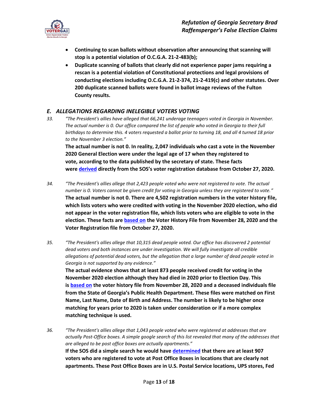

- **Continuing to scan ballots without observation after announcing that scanning will stop is a potential violation of O.C.G.A. 21-2-483(b);**
- **Duplicate scanning of ballots that clearly did not experience paper jams requiring a rescan is a potential violation of Constitutional protections and legal provisions of conducting elections including O.C.G.A. 21-2-374, 21-2-419(c) and other statutes. Over 200 duplicate scanned ballots were found in ballot image reviews of the Fulton County results.**

#### *E. ALLEGATIONS REGARDING INELEGIBLE VOTERS VOTING*

*33. "The President's allies have alleged that 66,241 underage teenagers voted in Georgia in November. The actual number is 0. Our office compared the list of people who voted in Georgia to their full birthdays to determine this. 4 voters requested a ballot prior to turning 18, and all 4 turned 18 prior to the November 3 election."* **The actual number is not 0. In reality, 2,047 individuals who cast a vote in the November 2020 General Election were under the legal age of 17 when they registered to** 

**vote, according to the data published by the secretary of state. These facts were [derived](https://voterga.org/wp-content/uploads/2022/01/Bryan-Geels-Expert-Report-Trump-v.-Raffensperger.pdf) directly from the SOS's voter registration database from October 27, 2020.**

- *34. "The President's allies allege that 2,423 people voted who were not registered to vote. The actual number is 0. Voters cannot be given credit for voting in Georgia unless they are registered to vote."* **The actual number is not 0. There are 4,502 registration numbers in the voter history file, which lists voters who were credited with voting in the November 2020 election, who did not appear in the voter registration file, which lists voters who are eligible to vote in the election. These facts are [based on](https://voterga.org/wp-content/uploads/2022/01/Bryan-Geels-Expert-Report-Trump-v.-Raffensperger.pdf) the Voter History File from November 28, 2020 and the Voter Registration file from October 27, 2020.**
- *35. "The President's allies allege that 10,315 dead people voted. Our office has discovered 2 potential dead voters and both instances are under investigation. We will fully investigate all credible allegations of potential dead voters, but the allegation that a large number of dead people voted in Georgia is not supported by any evidence."* **The actual evidence shows that at least 873 people received credit for voting in the November 2020 election although they had died in 2020 prior to Election Day. This is [based on](https://voterga.org/wp-content/uploads/2022/01/Bryan-Geels-Expert-Report-Trump-v.-Raffensperger.pdf) the voter history file from November 28, 2020 and a deceased individuals file from the State of Georgia's Public Health Department. These files were matched on First Name, Last Name, Date of Birth and Address. The number is likely to be higher once matching for years prior to 2020 is taken under consideration or if a more complex matching technique is used.**
- *36. "The President's allies allege that 1,043 people voted who were registered at addresses that are actually Post-Office boxes. A simple google search of this list revealed that many of the addresses that are alleged to be post office boxes are actually apartments."* **If the SOS did a simple search he would have [determined](https://voterga.org/wp-content/uploads/2022/01/Bryan-Geels-Expert-Report-Trump-v.-Raffensperger.pdf) that there are at least 907 voters who are registered to vote at Post Office Boxes in locations that are clearly not apartments. These Post Office Boxes are in U.S. Postal Service locations, UPS stores, Fed**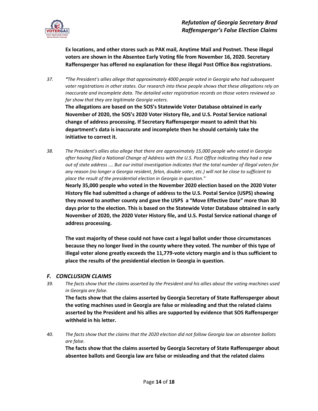

**Ex locations, and other stores such as PAK mail, Anytime Mail and Postnet. These illegal voters are shown in the Absentee Early Voting file from November 16, 2020. Secretary Raffensperger has offered no explanation for these illegal Post Office Box registrations.**

*37. "The President's allies allege that approximately 4000 people voted in Georgia who had subsequent voter registrations in other states. Our research into these people shows that these allegations rely on inaccurate and incomplete data. The detailed voter registration records on those voters reviewed so far show that they are legitimate Georgia voters.*  **The allegations are based on the SOS's Statewide Voter Database obtained in early** 

**November of 2020, the SOS's 2020 Voter History file, and U.S. Postal Service national change of address processing. If Secretary Raffensperger meant to admit that his department's data is inaccurate and incomplete then he should certainly take the initiative to correct it.** 

*38. The President's allies also allege that there are approximately 15,000 people who voted in Georgia after having filed a National Change of Address with the U.S. Post Office indicating they had a new out of state address …. But our initial investigation indicates that the total number of illegal voters for any reason (no longer a Georgia resident, felon, double voter, etc.) will not be close to sufficient to place the result of the presidential election in Georgia in question."*

**Nearly 35,000 people who voted in the November 2020 election based on the 2020 Voter History file had submitted a change of address to the U.S. Postal Service (USPS) showing they moved to another county and gave the USPS a "Move Effective Date" more than 30 days prior to the election. This is based on the Statewide Voter Database obtained in early November of 2020, the 2020 Voter History file, and U.S. Postal Service national change of address processing.**

**The vast majority of these could not have cast a legal ballot under those circumstances because they no longer lived in the county where they voted. The number of this type of illegal voter alone greatly exceeds the 11,779-vote victory margin and is thus sufficient to place the results of the presidential election in Georgia in question.**

#### *F. CONCLUSION CLAIMS*

*39. The facts show that the claims asserted by the President and his allies about the voting machines used in Georgia are false.* 

**The facts show that the claims asserted by Georgia Secretary of State Raffensperger about the voting machines used in Georgia are false or misleading and that the related claims asserted by the President and his allies are supported by evidence that SOS Raffensperger withheld in his letter.**

*40. The facts show that the claims that the 2020 election did not follow Georgia law on absentee ballots are false.* 

**The facts show that the claims asserted by Georgia Secretary of State Raffensperger about absentee ballots and Georgia law are false or misleading and that the related claims**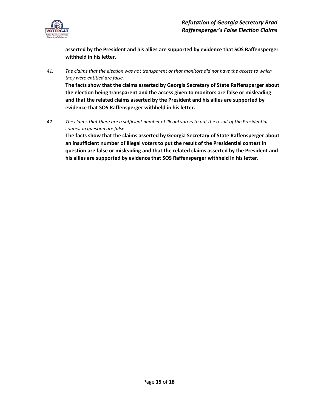

**asserted by the President and his allies are supported by evidence that SOS Raffensperger withheld in his letter.**

*41. The claims that the election was not transparent or that monitors did not have the access to which they were entitled are false.* 

**The facts show that the claims asserted by Georgia Secretary of State Raffensperger about the election being transparent and the access given to monitors are false or misleading and that the related claims asserted by the President and his allies are supported by evidence that SOS Raffensperger withheld in his letter.**

*42. The claims that there are a sufficient number of illegal voters to put the result of the Presidential contest in question are false.*

**The facts show that the claims asserted by Georgia Secretary of State Raffensperger about an insufficient number of illegal voters to put the result of the Presidential contest in question are false or misleading and that the related claims asserted by the President and his allies are supported by evidence that SOS Raffensperger withheld in his letter.**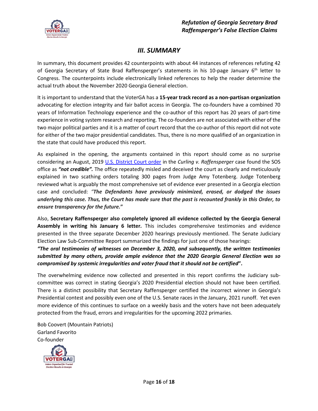

## *III. SUMMARY*

In summary, this document provides 42 counterpoints with about 44 instances of references refuting 42 of Georgia Secretary of State Brad Raffensperger's statements in his 10-page January 6<sup>th</sup> letter to Congress. The counterpoints include electronically linked references to help the reader determine the actual truth about the November 2020 Georgia General election.

It is important to understand that the VoterGA has a **15-year track record as a non-partisan organization** advocating for election integrity and fair ballot access in Georgia. The co-founders have a combined 70 years of Information Technology experience and the co-author of this report has 20 years of part-time experience in voting system research and reporting. The co-founders are not associated with either of the two major political parties and it is a matter of court record that the co-author of this report did not vote for either of the two major presidential candidates. Thus, there is no more qualified of an organization in the state that could have produced this report.

As explained in the opening, the arguments contained in this report should come as no surprise considering an August, 2019 [U.S. District Court order](https://voterga.org/wp-content/uploads/2021/06/curling-v-raffensperger-rulling-101120.pdf) in the *Curling v. Raffensperger* case found the SOS office as *"not credible".* The office repeatedly misled and deceived the court as clearly and meticulously explained in two scathing orders totaling 300 pages from Judge Amy Totenberg. Judge Totenberg reviewed what is arguably the most comprehensive set of evidence ever presented in a Georgia election case and concluded: *"The Defendants have previously minimized, erased, or dodged the issues underlying this case. Thus, the Court has made sure that the past is recounted frankly in this Order, to ensure transparency for the future.***"**

Also, **Secretary Raffensperger also completely ignored all evidence collected by the Georgia General Assembly in writing his January 6 letter.** This includes comprehensive testimonies and evidence presented in the three separate December 2020 hearings previously mentioned. The Senate Judiciary Election Law Sub-Committee Report summarized the findings for just one of those hearings:

*"The oral testimonies of witnesses on December 3, 2020, and subsequently, the written testimonies submitted by many others, provide ample evidence that the 2020 Georgia General Election was so compromised by systemic irregularities and voter fraud that it should not be certified***".** 

The overwhelming evidence now collected and presented in this report confirms the Judiciary subcommittee was correct in stating Georgia's 2020 Presidential election should not have been certified. There is a distinct possibility that Secretary Raffensperger certified the incorrect winner in Georgia's Presidential contest and possibly even one of the U.S. Senate races in the January, 2021 runoff. Yet even more evidence of this continues to surface on a weekly basis and the voters have not been adequately protected from the fraud, errors and irregularities for the upcoming 2022 primaries.

Bob Coovert (Mountain Patriots) Garland Favorito Co-founder

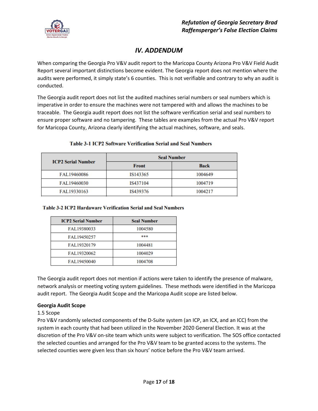

## *IV. ADDENDUM*

When comparing the Georgia Pro V&V audit report to the Maricopa County Arizona Pro V&V Field Audit Report several important distinctions become evident. The Georgia report does not mention where the audits were performed, it simply state's 6 counties. This is not verifiable and contrary to why an audit is conducted.

The Georgia audit report does not list the audited machines serial numbers or seal numbers which is imperative in order to ensure the machines were not tampered with and allows the machines to be traceable. The Georgia audit report does not list the software verification serial and seal numbers to ensure proper software and no tampering. These tables are examples from the actual Pro V&V report for Maricopa County, Arizona clearly identifying the actual machines, software, and seals.

| <b>ICP2 Serial Number</b> | <b>Seal Number</b> |             |
|---------------------------|--------------------|-------------|
|                           | <b>Front</b>       | <b>Back</b> |
| FAL19460086               | IS143365           | 1004649     |
| FAL19460030               | IS437104           | 1004719     |
| FAL19330163               | IS439376           | 1004217     |

#### **Table 3-1 ICP2 Software Verification Serial and Seal Numbers**

#### **Table 3-2 ICP2 Hardaware Verification Serial and Seal Numbers**

| <b>ICP2 Serial Number</b> | <b>Seal Number</b> |
|---------------------------|--------------------|
| FAL19380033               | 1004580            |
| FAL19450257               | ***                |
| FAL19320179               | 1004481            |
| FAL19320062               | 1004029            |
| FAL19450040               | 1004708            |

The Georgia audit report does not mention if actions were taken to identify the presence of malware, network analysis or meeting voting system guidelines. These methods were identified in the Maricopa audit report. The Georgia Audit Scope and the Maricopa Audit scope are listed below.

#### **Georgia Audit Scope**

1.5 Scope

Pro V&V randomly selected components of the D-Suite system (an ICP, an ICX, and an ICC) from the system in each county that had been utilized in the November 2020 General Election. It was at the discretion of the Pro V&V on-site team which units were subject to verification. The SOS office contacted the selected counties and arranged for the Pro V&V team to be granted access to the systems. The selected counties were given less than six hours' notice before the Pro V&V team arrived.